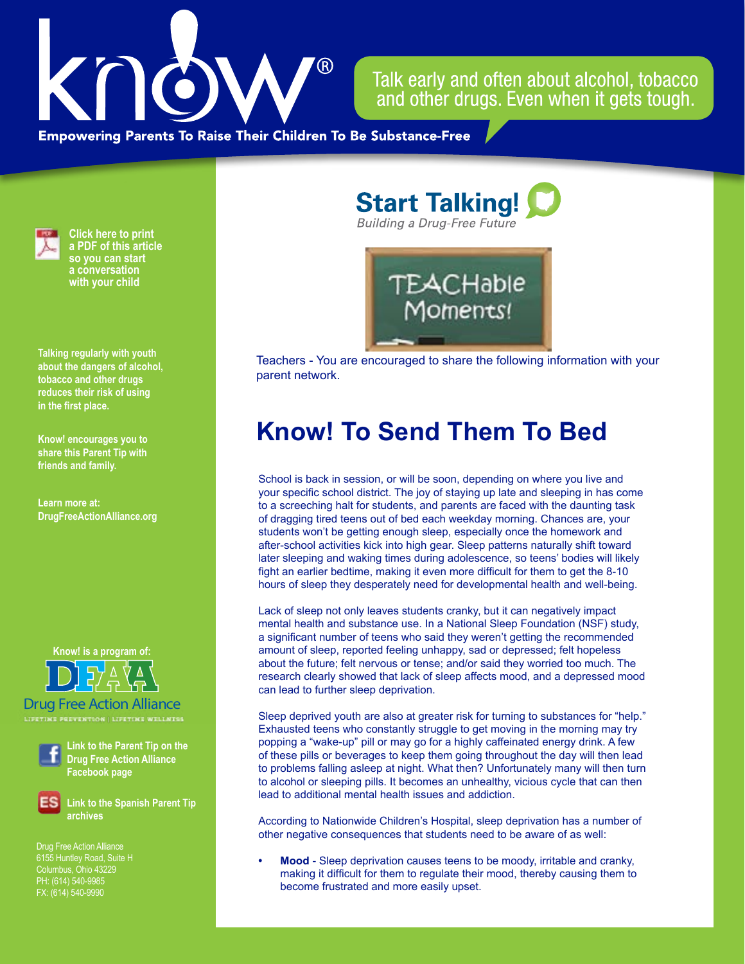

Talk early and often about alcohol, tobacco and other drugs. Even when it gets tough.

**Empowering Parents To Raise Their Children To Be Substance-Free** 



**Click here to print a PDF of this article so you can start a conversation with your child**

**Talking regularly with youth about the dangers of alcohol, tobacco and other drugs reduces their risk of using in the first place.**

**Know! encourages you to share this Parent Tip with friends and family.**

**Learn more at: DrugFreeActionAlliance.org**

**Know! is a program of:**



Drug Free Action Alliance **LIFETIME PREVENTION | LIFETIME WELLNESS**



**Link to the Parent Tip on the Drug Free Action Alliance Facebook page**

**Link to the Spanish Parent Tip archives**

Drug Free Action Alliance 6155 Huntley Road, Suite H Columbus, Ohio 43229 PH: (614) 540-9985 FX: (614) 540-9990

**Start Talking! Building a Drug-Free Future** 



Teachers - You are encouraged to share the following information with your parent network.

# **Know! To Send Them To Bed**

School is back in session, or will be soon, depending on where you live and your specific school district. The joy of staying up late and sleeping in has come to a screeching halt for students, and parents are faced with the daunting task of dragging tired teens out of bed each weekday morning. Chances are, your students won't be getting enough sleep, especially once the homework and after-school activities kick into high gear. Sleep patterns naturally shift toward later sleeping and waking times during adolescence, so teens' bodies will likely fight an earlier bedtime, making it even more difficult for them to get the 8-10 hours of sleep they desperately need for developmental health and well-being.

Lack of sleep not only leaves students cranky, but it can negatively impact mental health and substance use. In a National Sleep Foundation (NSF) study, a significant number of teens who said they weren't getting the recommended amount of sleep, reported feeling unhappy, sad or depressed; felt hopeless about the future; felt nervous or tense; and/or said they worried too much. The research clearly showed that lack of sleep affects mood, and a depressed mood can lead to further sleep deprivation.

Sleep deprived youth are also at greater risk for turning to substances for "help." Exhausted teens who constantly struggle to get moving in the morning may try popping a "wake-up" pill or may go for a highly caffeinated energy drink. A few of these pills or beverages to keep them going throughout the day will then lead to problems falling asleep at night. What then? Unfortunately many will then turn to alcohol or sleeping pills. It becomes an unhealthy, vicious cycle that can then lead to additional mental health issues and addiction.

According to Nationwide Children's Hospital, sleep deprivation has a number of other negative consequences that students need to be aware of as well:

**Mood** - Sleep deprivation causes teens to be moody, irritable and cranky, making it difficult for them to regulate their mood, thereby causing them to become frustrated and more easily upset.